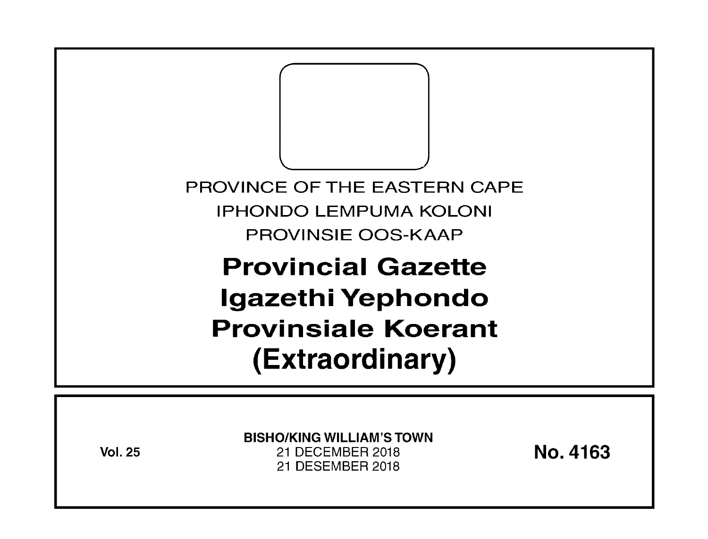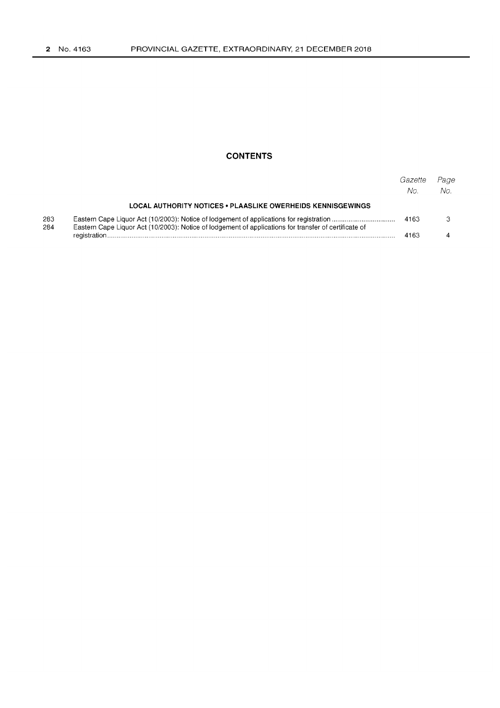## **CONTENTS**

|            |                                                                                                       | Gazette<br>No. | Page<br>No. |
|------------|-------------------------------------------------------------------------------------------------------|----------------|-------------|
|            | <b>LOCAL AUTHORITY NOTICES • PLAASLIKE OWERHEIDS KENNISGEWINGS</b>                                    |                |             |
| 283<br>284 | Eastern Cape Liquor Act (10/2003): Notice of lodgement of applications for transfer of certificate of | 4163           |             |
|            |                                                                                                       | 4163           |             |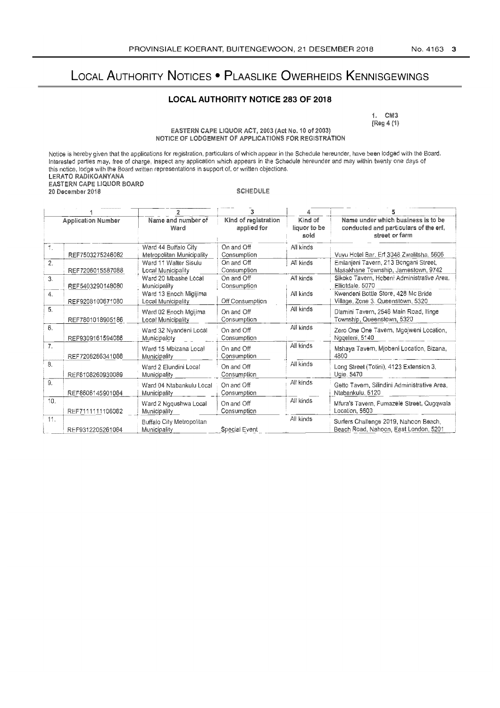# LOCAL AUTHORITY NOTICES . PLAASLIKE OWERHEIDS KENNISGEWINGS

### **LOCAL AUTHORITY NOTICE 283 OF 2018**

1. CM3 [Reg 4 (1)

EASTERN CAPE LIQUOR ACT, 2003 (Act No. 10 of 2003)<br>NOTICE OF LODGEMENT OF APPLICATIONS FOR REGISTRATION

Notice is hereby given that the applications for registration, particulars of which appear in the Schedule hereunder, have been lodged with the Board.<br>Interested parties may, free of charge, inspect any application which a LERATO RADIKOANYANA EASTERN CAPE LIQUOR BOARD **SCHEDULE** 20 December 2018

| <b>Application Number</b> |                  | Name and number of<br>Ward                   | Kind of registration<br>applied for | Kind of<br>liquor to be<br>sold | Name under which business is to be<br>conducted and particulars of the erf,<br>street or farm |  |
|---------------------------|------------------|----------------------------------------------|-------------------------------------|---------------------------------|-----------------------------------------------------------------------------------------------|--|
| 1.                        |                  | Ward 44 Buffalo City                         | On and Off                          | All kinds                       |                                                                                               |  |
|                           | REF7503275246082 | Metropolitan Municipality                    | Consumption                         |                                 | Vuvu Hotel Bar, Erf 3048 Zwelitsha, 5606                                                      |  |
| 2.                        | REF7206015587088 | Ward 11 Walter Sisulu<br>Local Municipality  | On and Off<br>Consumption           | All kinds                       | Emlanjeni Tavern, 213 Bongani Street,<br>Masakhane Township, Jamestown, 9742                  |  |
| 3.                        | REF5403290148080 | Ward 20 Mbashe Local<br>Municipality         | On and Off<br>Consumption           | All kinds                       | Sikoko Tavern, Hobeni Administrative Area,<br>Elliotdale, 5070                                |  |
| 4.                        | REF9208100671080 | Ward 13 Enoch Migijima<br>Local Municipality | Off Consumption                     | All kinds                       | Kwendeni Bottle Store, 428 Mc Bride<br>Village, Zone 3. Queenstown, 5320                      |  |
| 5.                        | REF7801018905186 | Ward 02 Enoch Mgijima<br>Local Municipality  | On and Off<br>Consumption           | All kinds                       | Dlamini Tavern, 2546 Main Road, Ilinge<br>Township, Queenstown, 5320                          |  |
| 6.                        | REF9309161594086 | Ward 32 Nyandeni Local<br>Municipaloty       | On and Off<br>Consumption           | All kinds                       | Zero One One Tavern, Mgojweni Location,<br>Ngqeleni, 5140                                     |  |
| 7 <sub>1</sub>            | REF7208286341088 | Ward 15 Mbizana Local<br>Municipality        | On and Off<br>Consumption           | All kinds                       | Mshaya Tavern, Miobeni Location, Bizana,<br>4800                                              |  |
| 8.                        | REF8108260930089 | Ward 2 Elundini Local<br>Municipality        | On and Off<br>Consumption           | All kinds                       | Long Street (Totini), 4123 Extension 3,<br>Ugie. 5470                                         |  |
| 9.                        | REF8606145901084 | Ward 04 Ntabankulu Local<br>Municipality     | On and Off<br>Consumption           | All kinds                       | Getto Tavern, Silindini Administrative Area,<br>Ntabankulu, 5120                              |  |
| 10.                       | REF7111111106082 | Ward 2 Ngqushwa Local<br><b>Municipality</b> | On and Off<br>Consumption           | All kinds                       | Mfura's Tavern, Fumazele Street, Quqqwala<br>Location, 5600                                   |  |
| 11.                       | REF9312205261084 | Buffalo City Metropolitan<br>Municipality    | Special Event                       | All kinds                       | Surfers Challenge 2019, Nahoon Beach,<br>Beach Road, Nahoon, East London, 5201                |  |